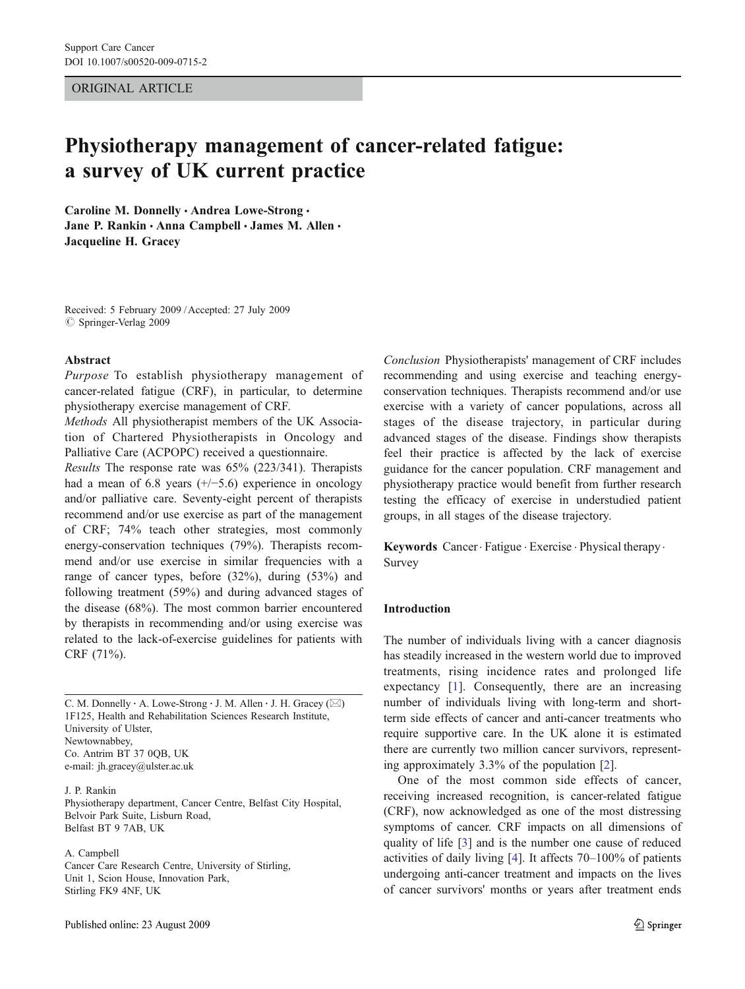ORIGINAL ARTICLE

# Physiotherapy management of cancer-related fatigue: a survey of UK current practice

Caroline M. Donnelly · Andrea Lowe-Strong · Jane P. Rankin · Anna Campbell · James M. Allen · Jacqueline H. Gracey

Received: 5 February 2009 /Accepted: 27 July 2009  $\circ$  Springer-Verlag 2009

### Abstract

Purpose To establish physiotherapy management of cancer-related fatigue (CRF), in particular, to determine physiotherapy exercise management of CRF.

Methods All physiotherapist members of the UK Association of Chartered Physiotherapists in Oncology and Palliative Care (ACPOPC) received a questionnaire.

Results The response rate was 65% (223/341). Therapists had a mean of 6.8 years (+/−5.6) experience in oncology and/or palliative care. Seventy-eight percent of therapists recommend and/or use exercise as part of the management of CRF; 74% teach other strategies, most commonly energy-conservation techniques (79%). Therapists recommend and/or use exercise in similar frequencies with a range of cancer types, before (32%), during (53%) and following treatment (59%) and during advanced stages of the disease (68%). The most common barrier encountered by therapists in recommending and/or using exercise was related to the lack-of-exercise guidelines for patients with CRF (71%).

C. M. Donnelly : A. Lowe-Strong : J. M. Allen : J. H. Gracey (*\**) 1F125, Health and Rehabilitation Sciences Research Institute, University of Ulster, Newtownabbey, Co. Antrim BT 37 0QB, UK e-mail: jh.gracey@ulster.ac.uk

J. P. Rankin Physiotherapy department, Cancer Centre, Belfast City Hospital, Belvoir Park Suite, Lisburn Road, Belfast BT 9 7AB, UK

A. Campbell

Cancer Care Research Centre, University of Stirling, Unit 1, Scion House, Innovation Park, Stirling FK9 4NF, UK

Conclusion Physiotherapists' management of CRF includes recommending and using exercise and teaching energyconservation techniques. Therapists recommend and/or use exercise with a variety of cancer populations, across all stages of the disease trajectory, in particular during advanced stages of the disease. Findings show therapists feel their practice is affected by the lack of exercise guidance for the cancer population. CRF management and physiotherapy practice would benefit from further research testing the efficacy of exercise in understudied patient groups, in all stages of the disease trajectory.

Keywords Cancer. Fatigue . Exercise . Physical therapy . Survey

#### Introduction

The number of individuals living with a cancer diagnosis has steadily increased in the western world due to improved treatments, rising incidence rates and prolonged life expectancy [[1\]](#page-7-0). Consequently, there are an increasing number of individuals living with long-term and shortterm side effects of cancer and anti-cancer treatments who require supportive care. In the UK alone it is estimated there are currently two million cancer survivors, representing approximately 3.3% of the population [[2\]](#page-7-0).

One of the most common side effects of cancer, receiving increased recognition, is cancer-related fatigue (CRF), now acknowledged as one of the most distressing symptoms of cancer. CRF impacts on all dimensions of quality of life [\[3](#page-7-0)] and is the number one cause of reduced activities of daily living [\[4](#page-7-0)]. It affects 70–100% of patients undergoing anti-cancer treatment and impacts on the lives of cancer survivors' months or years after treatment ends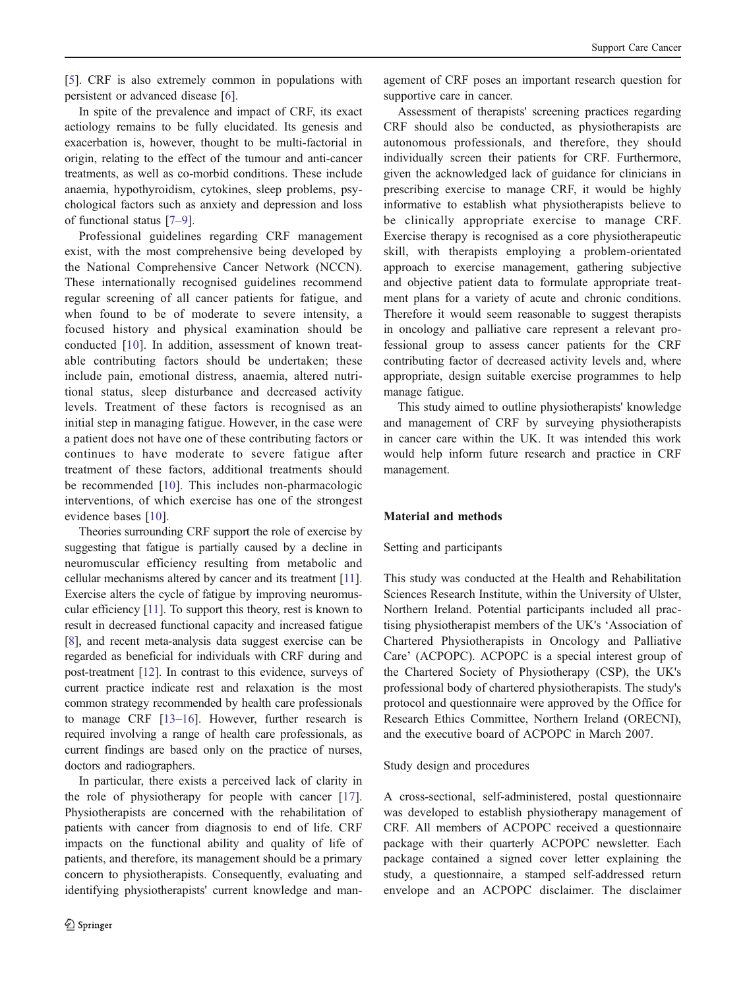[[5\]](#page-7-0). CRF is also extremely common in populations with persistent or advanced disease [[6\]](#page-7-0).

In spite of the prevalence and impact of CRF, its exact aetiology remains to be fully elucidated. Its genesis and exacerbation is, however, thought to be multi-factorial in origin, relating to the effect of the tumour and anti-cancer treatments, as well as co-morbid conditions. These include anaemia, hypothyroidism, cytokines, sleep problems, psychological factors such as anxiety and depression and loss of functional status [\[7](#page-7-0)–[9](#page-7-0)].

Professional guidelines regarding CRF management exist, with the most comprehensive being developed by the National Comprehensive Cancer Network (NCCN). These internationally recognised guidelines recommend regular screening of all cancer patients for fatigue, and when found to be of moderate to severe intensity, a focused history and physical examination should be conducted [\[10](#page-7-0)]. In addition, assessment of known treatable contributing factors should be undertaken; these include pain, emotional distress, anaemia, altered nutritional status, sleep disturbance and decreased activity levels. Treatment of these factors is recognised as an initial step in managing fatigue. However, in the case were a patient does not have one of these contributing factors or continues to have moderate to severe fatigue after treatment of these factors, additional treatments should be recommended [\[10\]](#page-7-0). This includes non-pharmacologic interventions, of which exercise has one of the strongest evidence bases [\[10\]](#page-7-0).

Theories surrounding CRF support the role of exercise by suggesting that fatigue is partially caused by a decline in neuromuscular efficiency resulting from metabolic and cellular mechanisms altered by cancer and its treatment [[11](#page-7-0)]. Exercise alters the cycle of fatigue by improving neuromuscular efficiency [[11](#page-7-0)]. To support this theory, rest is known to result in decreased functional capacity and increased fatigue [[8\]](#page-7-0), and recent meta-analysis data suggest exercise can be regarded as beneficial for individuals with CRF during and post-treatment [\[12\]](#page-7-0). In contrast to this evidence, surveys of current practice indicate rest and relaxation is the most common strategy recommended by health care professionals to manage CRF [[13](#page-7-0)–[16](#page-7-0)]. However, further research is required involving a range of health care professionals, as current findings are based only on the practice of nurses, doctors and radiographers.

In particular, there exists a perceived lack of clarity in the role of physiotherapy for people with cancer [\[17](#page-7-0)]. Physiotherapists are concerned with the rehabilitation of patients with cancer from diagnosis to end of life. CRF impacts on the functional ability and quality of life of patients, and therefore, its management should be a primary concern to physiotherapists. Consequently, evaluating and identifying physiotherapists' current knowledge and man-

agement of CRF poses an important research question for supportive care in cancer.

Assessment of therapists' screening practices regarding CRF should also be conducted, as physiotherapists are autonomous professionals, and therefore, they should individually screen their patients for CRF. Furthermore, given the acknowledged lack of guidance for clinicians in prescribing exercise to manage CRF, it would be highly informative to establish what physiotherapists believe to be clinically appropriate exercise to manage CRF. Exercise therapy is recognised as a core physiotherapeutic skill, with therapists employing a problem-orientated approach to exercise management, gathering subjective and objective patient data to formulate appropriate treatment plans for a variety of acute and chronic conditions. Therefore it would seem reasonable to suggest therapists in oncology and palliative care represent a relevant professional group to assess cancer patients for the CRF contributing factor of decreased activity levels and, where appropriate, design suitable exercise programmes to help manage fatigue.

This study aimed to outline physiotherapists' knowledge and management of CRF by surveying physiotherapists in cancer care within the UK. It was intended this work would help inform future research and practice in CRF management.

## Material and methods

## Setting and participants

This study was conducted at the Health and Rehabilitation Sciences Research Institute, within the University of Ulster, Northern Ireland. Potential participants included all practising physiotherapist members of the UK's 'Association of Chartered Physiotherapists in Oncology and Palliative Care' (ACPOPC). ACPOPC is a special interest group of the Chartered Society of Physiotherapy (CSP), the UK's professional body of chartered physiotherapists. The study's protocol and questionnaire were approved by the Office for Research Ethics Committee, Northern Ireland (ORECNI), and the executive board of ACPOPC in March 2007.

## Study design and procedures

A cross-sectional, self-administered, postal questionnaire was developed to establish physiotherapy management of CRF. All members of ACPOPC received a questionnaire package with their quarterly ACPOPC newsletter. Each package contained a signed cover letter explaining the study, a questionnaire, a stamped self-addressed return envelope and an ACPOPC disclaimer. The disclaimer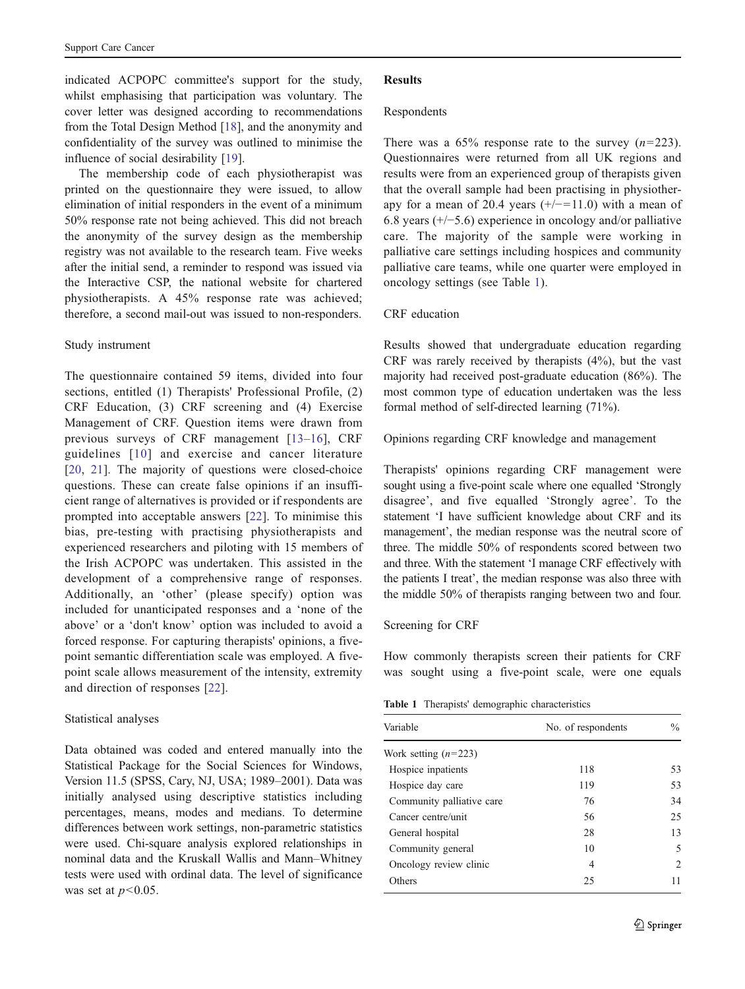indicated ACPOPC committee's support for the study, whilst emphasising that participation was voluntary. The cover letter was designed according to recommendations from the Total Design Method [\[18](#page-7-0)], and the anonymity and confidentiality of the survey was outlined to minimise the influence of social desirability [\[19](#page-7-0)].

The membership code of each physiotherapist was printed on the questionnaire they were issued, to allow elimination of initial responders in the event of a minimum 50% response rate not being achieved. This did not breach the anonymity of the survey design as the membership registry was not available to the research team. Five weeks after the initial send, a reminder to respond was issued via the Interactive CSP, the national website for chartered physiotherapists. A 45% response rate was achieved; therefore, a second mail-out was issued to non-responders.

#### Study instrument

The questionnaire contained 59 items, divided into four sections, entitled (1) Therapists' Professional Profile, (2) CRF Education, (3) CRF screening and (4) Exercise Management of CRF. Question items were drawn from previous surveys of CRF management [[13](#page-7-0)–[16](#page-7-0)], CRF guidelines [[10](#page-7-0)] and exercise and cancer literature [[20](#page-7-0), [21\]](#page-7-0). The majority of questions were closed-choice questions. These can create false opinions if an insufficient range of alternatives is provided or if respondents are prompted into acceptable answers [[22\]](#page-7-0). To minimise this bias, pre-testing with practising physiotherapists and experienced researchers and piloting with 15 members of the Irish ACPOPC was undertaken. This assisted in the development of a comprehensive range of responses. Additionally, an 'other' (please specify) option was included for unanticipated responses and a 'none of the above' or a 'don't know' option was included to avoid a forced response. For capturing therapists' opinions, a fivepoint semantic differentiation scale was employed. A fivepoint scale allows measurement of the intensity, extremity and direction of responses [[22\]](#page-7-0).

#### Statistical analyses

Data obtained was coded and entered manually into the Statistical Package for the Social Sciences for Windows, Version 11.5 (SPSS, Cary, NJ, USA; 1989–2001). Data was initially analysed using descriptive statistics including percentages, means, modes and medians. To determine differences between work settings, non-parametric statistics were used. Chi-square analysis explored relationships in nominal data and the Kruskall Wallis and Mann–Whitney tests were used with ordinal data. The level of significance was set at  $p<0.05$ .

## **Results**

#### Respondents

There was a  $65\%$  response rate to the survey  $(n=223)$ . Questionnaires were returned from all UK regions and results were from an experienced group of therapists given that the overall sample had been practising in physiotherapy for a mean of 20.4 years  $(+/-=11.0)$  with a mean of 6.8 years (+/−5.6) experience in oncology and/or palliative care. The majority of the sample were working in palliative care settings including hospices and community palliative care teams, while one quarter were employed in oncology settings (see Table 1).

# CRF education

Results showed that undergraduate education regarding CRF was rarely received by therapists (4%), but the vast majority had received post-graduate education (86%). The most common type of education undertaken was the less formal method of self-directed learning (71%).

## Opinions regarding CRF knowledge and management

Therapists' opinions regarding CRF management were sought using a five-point scale where one equalled 'Strongly disagree', and five equalled 'Strongly agree'. To the statement 'I have sufficient knowledge about CRF and its management', the median response was the neutral score of three. The middle 50% of respondents scored between two and three. With the statement 'I manage CRF effectively with the patients I treat', the median response was also three with the middle 50% of therapists ranging between two and four.

#### Screening for CRF

How commonly therapists screen their patients for CRF was sought using a five-point scale, were one equals

Table 1 Therapists' demographic characteristics

| Variable                  | No. of respondents | $\frac{0}{0}$                 |
|---------------------------|--------------------|-------------------------------|
| Work setting $(n=223)$    |                    |                               |
| Hospice inpatients        | 118                | 53                            |
| Hospice day care          | 119                | 53                            |
| Community palliative care | 76                 | 34                            |
| Cancer centre/unit        | 56                 | 25                            |
| General hospital          | 28                 | 13                            |
| Community general         | 10                 | 5                             |
| Oncology review clinic    | 4                  | $\mathfrak{D}_{\mathfrak{p}}$ |
| Others                    | 25                 | 11                            |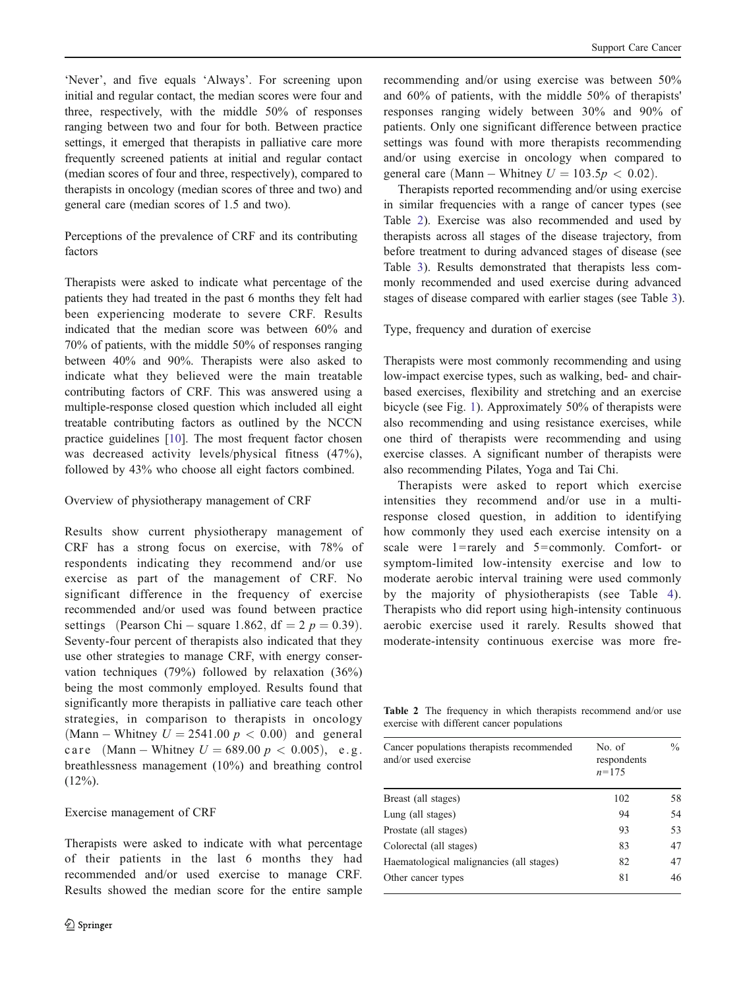<span id="page-3-0"></span>'Never', and five equals 'Always'. For screening upon initial and regular contact, the median scores were four and three, respectively, with the middle 50% of responses ranging between two and four for both. Between practice settings, it emerged that therapists in palliative care more frequently screened patients at initial and regular contact (median scores of four and three, respectively), compared to

Perceptions of the prevalence of CRF and its contributing factors

therapists in oncology (median scores of three and two) and

general care (median scores of 1.5 and two).

Therapists were asked to indicate what percentage of the patients they had treated in the past 6 months they felt had been experiencing moderate to severe CRF. Results indicated that the median score was between 60% and 70% of patients, with the middle 50% of responses ranging between 40% and 90%. Therapists were also asked to indicate what they believed were the main treatable contributing factors of CRF. This was answered using a multiple-response closed question which included all eight treatable contributing factors as outlined by the NCCN practice guidelines [\[10](#page-7-0)]. The most frequent factor chosen was decreased activity levels/physical fitness (47%), followed by 43% who choose all eight factors combined.

## Overview of physiotherapy management of CRF

Results show current physiotherapy management of CRF has a strong focus on exercise, with 78% of respondents indicating they recommend and/or use exercise as part of the management of CRF. No significant difference in the frequency of exercise recommended and/or used was found between practice settings (Pearson Chi – square 1.862, df =  $2 p = 0.39$ ). Seventy-four percent of therapists also indicated that they use other strategies to manage CRF, with energy conservation techniques (79%) followed by relaxation (36%) being the most commonly employed. Results found that significantly more therapists in palliative care teach other strategies, in comparison to therapists in oncology (Mann – Whitney  $U = 2541.00 \, p < 0.00$ ) and general c a r e (Mann – Whitney  $U = 689.00 \, p < 0.005$ ), e.g. breathlessness management (10%) and breathing control  $(12\%)$ .

## Exercise management of CRF

Therapists were asked to indicate with what percentage of their patients in the last 6 months they had recommended and/or used exercise to manage CRF. Results showed the median score for the entire sample recommending and/or using exercise was between 50% and 60% of patients, with the middle 50% of therapists' responses ranging widely between 30% and 90% of patients. Only one significant difference between practice settings was found with more therapists recommending and/or using exercise in oncology when compared to general care (Mann – Whitney  $U = 103.5p < 0.02$ ).

Therapists reported recommending and/or using exercise in similar frequencies with a range of cancer types (see Table 2). Exercise was also recommended and used by therapists across all stages of the disease trajectory, from before treatment to during advanced stages of disease (see Table [3\)](#page-4-0). Results demonstrated that therapists less commonly recommended and used exercise during advanced stages of disease compared with earlier stages (see Table [3](#page-4-0)).

# Type, frequency and duration of exercise

Therapists were most commonly recommending and using low-impact exercise types, such as walking, bed- and chairbased exercises, flexibility and stretching and an exercise bicycle (see Fig. [1\)](#page-4-0). Approximately 50% of therapists were also recommending and using resistance exercises, while one third of therapists were recommending and using exercise classes. A significant number of therapists were also recommending Pilates, Yoga and Tai Chi.

Therapists were asked to report which exercise intensities they recommend and/or use in a multiresponse closed question, in addition to identifying how commonly they used each exercise intensity on a scale were  $1 = \text{rarely}$  and  $5 = \text{commonly}$ . Comfort- or symptom-limited low-intensity exercise and low to moderate aerobic interval training were used commonly by the majority of physiotherapists (see Table [4\)](#page-5-0). Therapists who did report using high-intensity continuous aerobic exercise used it rarely. Results showed that moderate-intensity continuous exercise was more fre-

Table 2 The frequency in which therapists recommend and/or use exercise with different cancer populations

| Cancer populations therapists recommended<br>and/or used exercise | No. of<br>respondents<br>$n = 175$ | $\frac{0}{0}$ |
|-------------------------------------------------------------------|------------------------------------|---------------|
| Breast (all stages)                                               | 102                                | 58            |
| Lung (all stages)                                                 | 94                                 | 54            |
| Prostate (all stages)                                             | 93                                 | 53            |
| Colorectal (all stages)                                           | 83                                 | 47            |
| Haematological malignancies (all stages)                          | 82                                 | 47            |
| Other cancer types                                                | 81                                 | 46            |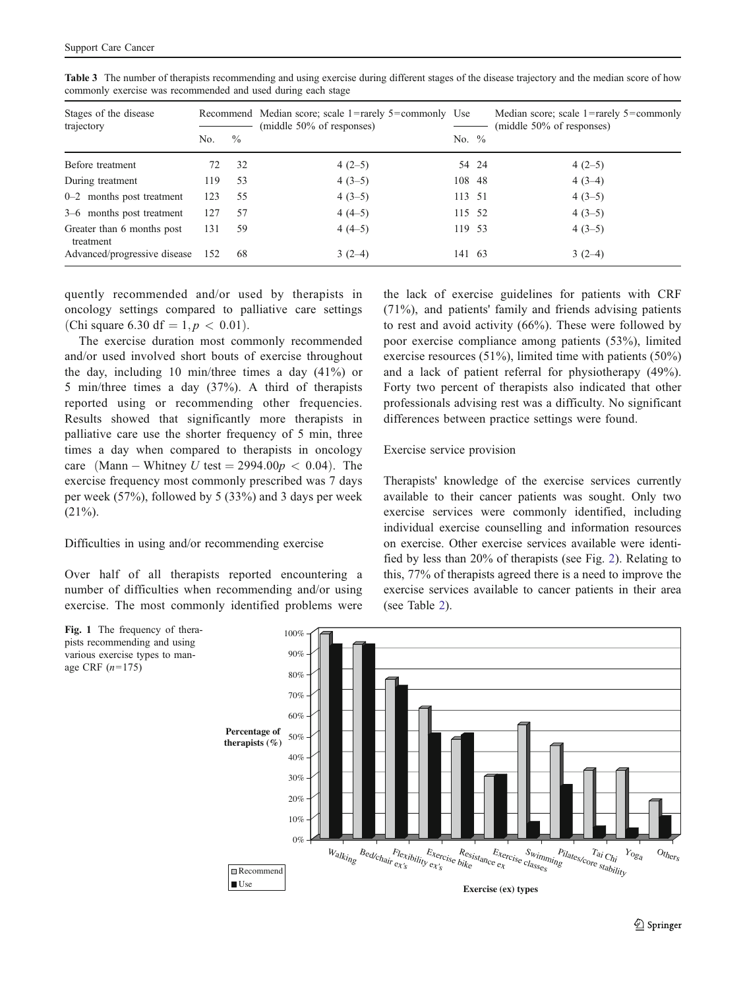| Stages of the disease<br>trajectory     |     |               | Recommend Median score; scale 1=rarely 5=commonly Use<br>(middle 50% of responses) |          |       | Median score; scale $1 =$ rarely $5 =$ commonly<br>(middle 50% of responses) |
|-----------------------------------------|-----|---------------|------------------------------------------------------------------------------------|----------|-------|------------------------------------------------------------------------------|
|                                         | No. | $\frac{0}{0}$ |                                                                                    | No. $\%$ |       |                                                                              |
| Before treatment                        | 72  | 32            | $4(2-5)$                                                                           |          | 54 24 | $4(2-5)$                                                                     |
| During treatment                        | 119 | 53            | $4(3-5)$                                                                           | 108 48   |       | $4(3-4)$                                                                     |
| $0-2$ months post treatment             | 123 | 55            | $4(3-5)$                                                                           | 113 51   |       | $4(3-5)$                                                                     |
| 3–6 months post treatment               | 127 | 57            | $4(4-5)$                                                                           | 115 52   |       | $4(3-5)$                                                                     |
| Greater than 6 months post<br>treatment | 131 | 59            | $4(4-5)$                                                                           | 119 53   |       | $4(3-5)$                                                                     |
| Advanced/progressive disease            | 152 | -68           | $3(2-4)$                                                                           | 141 63   |       | $3(2-4)$                                                                     |

<span id="page-4-0"></span>Table 3 The number of therapists recommending and using exercise during different stages of the disease trajectory and the median score of how commonly exercise was recommended and used during each stage

quently recommended and/or used by therapists in oncology settings compared to palliative care settings (Chi square 6.30 df =  $1, p < 0.01$ ).

The exercise duration most commonly recommended and/or used involved short bouts of exercise throughout the day, including 10 min/three times a day  $(41\%)$  or 5 min/three times a day (37%). A third of therapists reported using or recommending other frequencies. Results showed that significantly more therapists in palliative care use the shorter frequency of 5 min, three times a day when compared to therapists in oncology care (Mann – Whitney U test =  $2994.00p < 0.04$ ). The exercise frequency most commonly prescribed was 7 days per week (57%), followed by 5 (33%) and 3 days per week  $(21\%)$ .

## Difficulties in using and/or recommending exercise

age CRF  $(n=175)$ 

Over half of all therapists reported encountering a number of difficulties when recommending and/or using exercise. The most commonly identified problems were

the lack of exercise guidelines for patients with CRF (71%), and patients' family and friends advising patients to rest and avoid activity (66%). These were followed by poor exercise compliance among patients (53%), limited exercise resources (51%), limited time with patients (50%) and a lack of patient referral for physiotherapy (49%). Forty two percent of therapists also indicated that other professionals advising rest was a difficulty. No significant differences between practice settings were found.

#### Exercise service provision

Therapists' knowledge of the exercise services currently available to their cancer patients was sought. Only two exercise services were commonly identified, including individual exercise counselling and information resources on exercise. Other exercise services available were identified by less than 20% of therapists (see Fig. [2\)](#page-5-0). Relating to this, 77% of therapists agreed there is a need to improve the exercise services available to cancer patients in their area (see Table [2](#page-3-0)).

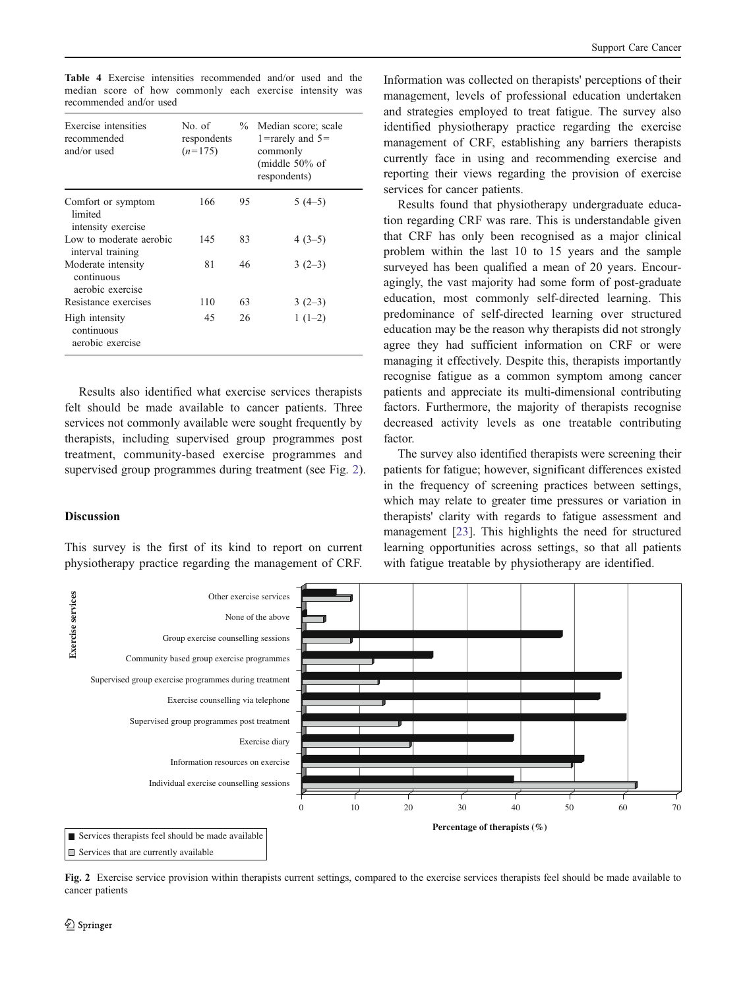<span id="page-5-0"></span>Table 4 Exercise intensities recommended and/or used and the median score of how commonly each exercise intensity was recommended and/or used

| Exercise intensities<br>recommended<br>and/or used   | No. of<br>respondents<br>$(n=175)$ | $\frac{0}{2}$ | Median score; scale<br>1=rarely and $5=$<br>commonly<br>(middle $50\%$ of<br>respondents) |
|------------------------------------------------------|------------------------------------|---------------|-------------------------------------------------------------------------------------------|
| Comfort or symptom<br>limited<br>intensity exercise  | 166                                | 95            | $5(4-5)$                                                                                  |
| Low to moderate aerobic<br>interval training         | 145                                | 83            | $4(3-5)$                                                                                  |
| Moderate intensity<br>continuous<br>aerobic exercise | 81                                 | 46            | $3(2-3)$                                                                                  |
| Resistance exercises                                 | 110                                | 63            | $3(2-3)$                                                                                  |
| High intensity<br>continuous<br>aerobic exercise     | 45                                 | 26            | $1(1-2)$                                                                                  |

Results also identified what exercise services therapists felt should be made available to cancer patients. Three services not commonly available were sought frequently by therapists, including supervised group programmes post treatment, community-based exercise programmes and supervised group programmes during treatment (see Fig. 2).

#### **Discussion**

This survey is the first of its kind to report on current physiotherapy practice regarding the management of CRF.

Information was collected on therapists' perceptions of their management, levels of professional education undertaken and strategies employed to treat fatigue. The survey also identified physiotherapy practice regarding the exercise management of CRF, establishing any barriers therapists currently face in using and recommending exercise and reporting their views regarding the provision of exercise services for cancer patients.

Results found that physiotherapy undergraduate education regarding CRF was rare. This is understandable given that CRF has only been recognised as a major clinical problem within the last 10 to 15 years and the sample surveyed has been qualified a mean of 20 years. Encouragingly, the vast majority had some form of post-graduate education, most commonly self-directed learning. This predominance of self-directed learning over structured education may be the reason why therapists did not strongly agree they had sufficient information on CRF or were managing it effectively. Despite this, therapists importantly recognise fatigue as a common symptom among cancer patients and appreciate its multi-dimensional contributing factors. Furthermore, the majority of therapists recognise decreased activity levels as one treatable contributing factor.

The survey also identified therapists were screening their patients for fatigue; however, significant differences existed in the frequency of screening practices between settings, which may relate to greater time pressures or variation in therapists' clarity with regards to fatigue assessment and management [[23\]](#page-7-0). This highlights the need for structured learning opportunities across settings, so that all patients with fatigue treatable by physiotherapy are identified.



Fig. 2 Exercise service provision within therapists current settings, compared to the exercise services therapists feel should be made available to cancer patients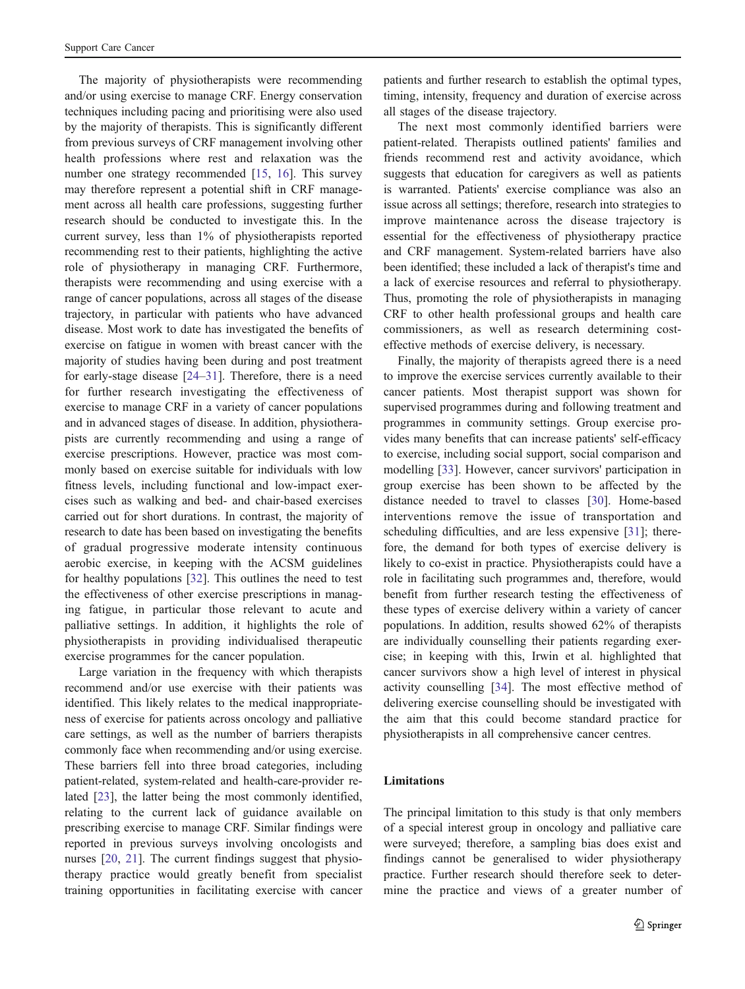The majority of physiotherapists were recommending and/or using exercise to manage CRF. Energy conservation techniques including pacing and prioritising were also used by the majority of therapists. This is significantly different from previous surveys of CRF management involving other health professions where rest and relaxation was the number one strategy recommended [\[15](#page-7-0), [16](#page-7-0)]. This survey may therefore represent a potential shift in CRF management across all health care professions, suggesting further research should be conducted to investigate this. In the current survey, less than 1% of physiotherapists reported recommending rest to their patients, highlighting the active role of physiotherapy in managing CRF. Furthermore, therapists were recommending and using exercise with a range of cancer populations, across all stages of the disease trajectory, in particular with patients who have advanced disease. Most work to date has investigated the benefits of exercise on fatigue in women with breast cancer with the majority of studies having been during and post treatment for early-stage disease [\[24](#page-7-0)–[31](#page-8-0)]. Therefore, there is a need for further research investigating the effectiveness of exercise to manage CRF in a variety of cancer populations and in advanced stages of disease. In addition, physiotherapists are currently recommending and using a range of exercise prescriptions. However, practice was most commonly based on exercise suitable for individuals with low fitness levels, including functional and low-impact exercises such as walking and bed- and chair-based exercises carried out for short durations. In contrast, the majority of research to date has been based on investigating the benefits of gradual progressive moderate intensity continuous aerobic exercise, in keeping with the ACSM guidelines for healthy populations [\[32](#page-8-0)]. This outlines the need to test the effectiveness of other exercise prescriptions in managing fatigue, in particular those relevant to acute and palliative settings. In addition, it highlights the role of physiotherapists in providing individualised therapeutic exercise programmes for the cancer population.

Large variation in the frequency with which therapists recommend and/or use exercise with their patients was identified. This likely relates to the medical inappropriateness of exercise for patients across oncology and palliative care settings, as well as the number of barriers therapists commonly face when recommending and/or using exercise. These barriers fell into three broad categories, including patient-related, system-related and health-care-provider related [\[23](#page-7-0)], the latter being the most commonly identified, relating to the current lack of guidance available on prescribing exercise to manage CRF. Similar findings were reported in previous surveys involving oncologists and nurses [\[20](#page-7-0), [21\]](#page-7-0). The current findings suggest that physiotherapy practice would greatly benefit from specialist training opportunities in facilitating exercise with cancer patients and further research to establish the optimal types, timing, intensity, frequency and duration of exercise across all stages of the disease trajectory.

The next most commonly identified barriers were patient-related. Therapists outlined patients' families and friends recommend rest and activity avoidance, which suggests that education for caregivers as well as patients is warranted. Patients' exercise compliance was also an issue across all settings; therefore, research into strategies to improve maintenance across the disease trajectory is essential for the effectiveness of physiotherapy practice and CRF management. System-related barriers have also been identified; these included a lack of therapist's time and a lack of exercise resources and referral to physiotherapy. Thus, promoting the role of physiotherapists in managing CRF to other health professional groups and health care commissioners, as well as research determining costeffective methods of exercise delivery, is necessary.

Finally, the majority of therapists agreed there is a need to improve the exercise services currently available to their cancer patients. Most therapist support was shown for supervised programmes during and following treatment and programmes in community settings. Group exercise provides many benefits that can increase patients' self-efficacy to exercise, including social support, social comparison and modelling [\[33](#page-8-0)]. However, cancer survivors' participation in group exercise has been shown to be affected by the distance needed to travel to classes [[30\]](#page-8-0). Home-based interventions remove the issue of transportation and scheduling difficulties, and are less expensive [\[31](#page-8-0)]; therefore, the demand for both types of exercise delivery is likely to co-exist in practice. Physiotherapists could have a role in facilitating such programmes and, therefore, would benefit from further research testing the effectiveness of these types of exercise delivery within a variety of cancer populations. In addition, results showed 62% of therapists are individually counselling their patients regarding exercise; in keeping with this, Irwin et al. highlighted that cancer survivors show a high level of interest in physical activity counselling [[34\]](#page-8-0). The most effective method of delivering exercise counselling should be investigated with the aim that this could become standard practice for physiotherapists in all comprehensive cancer centres.

#### Limitations

The principal limitation to this study is that only members of a special interest group in oncology and palliative care were surveyed; therefore, a sampling bias does exist and findings cannot be generalised to wider physiotherapy practice. Further research should therefore seek to determine the practice and views of a greater number of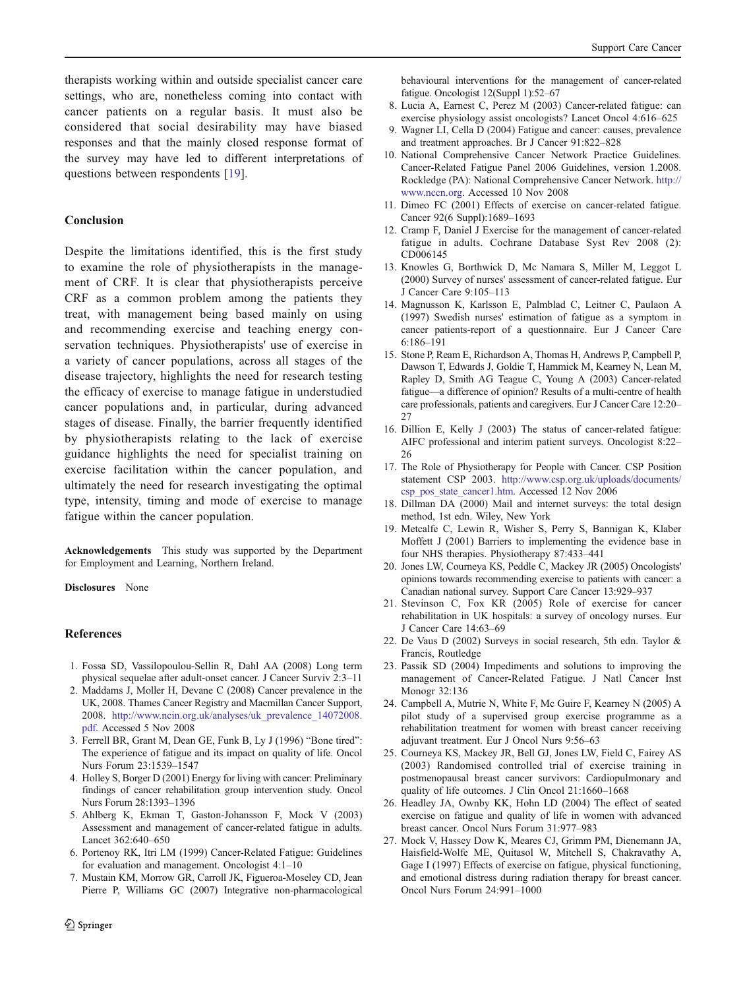<span id="page-7-0"></span>therapists working within and outside specialist cancer care settings, who are, nonetheless coming into contact with cancer patients on a regular basis. It must also be considered that social desirability may have biased responses and that the mainly closed response format of the survey may have led to different interpretations of questions between respondents [19].

## Conclusion

Despite the limitations identified, this is the first study to examine the role of physiotherapists in the management of CRF. It is clear that physiotherapists perceive CRF as a common problem among the patients they treat, with management being based mainly on using and recommending exercise and teaching energy conservation techniques. Physiotherapists' use of exercise in a variety of cancer populations, across all stages of the disease trajectory, highlights the need for research testing the efficacy of exercise to manage fatigue in understudied cancer populations and, in particular, during advanced stages of disease. Finally, the barrier frequently identified by physiotherapists relating to the lack of exercise guidance highlights the need for specialist training on exercise facilitation within the cancer population, and ultimately the need for research investigating the optimal type, intensity, timing and mode of exercise to manage fatigue within the cancer population.

Acknowledgements This study was supported by the Department for Employment and Learning, Northern Ireland.

Disclosures None

## References

- 1. Fossa SD, Vassilopoulou-Sellin R, Dahl AA (2008) Long term physical sequelae after adult-onset cancer. J Cancer Surviv 2:3–11
- 2. Maddams J, Moller H, Devane C (2008) Cancer prevalence in the UK, 2008. Thames Cancer Registry and Macmillan Cancer Support, 2008. [http://www.ncin.org.uk/analyses/uk\\_prevalence\\_14072008.](http://www.ncin.org.uk/analyses/uk_prevalence_14072008.pdf) [pdf.](http://www.ncin.org.uk/analyses/uk_prevalence_14072008.pdf) Accessed 5 Nov 2008
- 3. Ferrell BR, Grant M, Dean GE, Funk B, Ly J (1996) "Bone tired": The experience of fatigue and its impact on quality of life. Oncol Nurs Forum 23:1539–1547
- 4. Holley S, Borger D (2001) Energy for living with cancer: Preliminary findings of cancer rehabilitation group intervention study. Oncol Nurs Forum 28:1393–1396
- 5. Ahlberg K, Ekman T, Gaston-Johansson F, Mock V (2003) Assessment and management of cancer-related fatigue in adults. Lancet 362:640–650
- 6. Portenoy RK, Itri LM (1999) Cancer-Related Fatigue: Guidelines for evaluation and management. Oncologist 4:1–10
- 7. Mustain KM, Morrow GR, Carroll JK, Figueroa-Moseley CD, Jean Pierre P, Williams GC (2007) Integrative non-pharmacological

behavioural interventions for the management of cancer-related fatigue. Oncologist 12(Suppl 1):52–67

- 8. Lucia A, Earnest C, Perez M (2003) Cancer-related fatigue: can exercise physiology assist oncologists? Lancet Oncol 4:616–625
- 9. Wagner LI, Cella D (2004) Fatigue and cancer: causes, prevalence and treatment approaches. Br J Cancer 91:822–828
- 10. National Comprehensive Cancer Network Practice Guidelines. Cancer-Related Fatigue Panel 2006 Guidelines, version 1.2008. Rockledge (PA): National Comprehensive Cancer Network. [http://](http://www.nccn.org) [www.nccn.org.](http://www.nccn.org) Accessed 10 Nov 2008
- 11. Dimeo FC (2001) Effects of exercise on cancer-related fatigue. Cancer 92(6 Suppl):1689–1693
- 12. Cramp F, Daniel J Exercise for the management of cancer-related fatigue in adults. Cochrane Database Syst Rev 2008 (2): CD006145
- 13. Knowles G, Borthwick D, Mc Namara S, Miller M, Leggot L (2000) Survey of nurses' assessment of cancer-related fatigue. Eur J Cancer Care 9:105–113
- 14. Magnusson K, Karlsson E, Palmblad C, Leitner C, Paulaon A (1997) Swedish nurses' estimation of fatigue as a symptom in cancer patients-report of a questionnaire. Eur J Cancer Care 6:186–191
- 15. Stone P, Ream E, Richardson A, Thomas H, Andrews P, Campbell P, Dawson T, Edwards J, Goldie T, Hammick M, Kearney N, Lean M, Rapley D, Smith AG Teague C, Young A (2003) Cancer-related fatigue—a difference of opinion? Results of a multi-centre of health care professionals, patients and caregivers. Eur J Cancer Care 12:20–  $27$
- 16. Dillion E, Kelly J (2003) The status of cancer-related fatigue: AIFC professional and interim patient surveys. Oncologist 8:22– 26
- 17. The Role of Physiotherapy for People with Cancer. CSP Position statement CSP 2003. [http://www.csp.org.uk/uploads/documents/](http://www.csp.org.uk/uploads/documents/csp_pos_state_cancer1.htm) [csp\\_pos\\_state\\_cancer1.htm](http://www.csp.org.uk/uploads/documents/csp_pos_state_cancer1.htm). Accessed 12 Nov 2006
- 18. Dillman DA (2000) Mail and internet surveys: the total design method, 1st edn. Wiley, New York
- 19. Metcalfe C, Lewin R, Wisher S, Perry S, Bannigan K, Klaber Moffett J (2001) Barriers to implementing the evidence base in four NHS therapies. Physiotherapy 87:433–441
- 20. Jones LW, Courneya KS, Peddle C, Mackey JR (2005) Oncologists' opinions towards recommending exercise to patients with cancer: a Canadian national survey. Support Care Cancer 13:929–937
- 21. Stevinson C, Fox KR (2005) Role of exercise for cancer rehabilitation in UK hospitals: a survey of oncology nurses. Eur J Cancer Care 14:63–69
- 22. De Vaus D (2002) Surveys in social research, 5th edn. Taylor & Francis, Routledge
- 23. Passik SD (2004) Impediments and solutions to improving the management of Cancer-Related Fatigue. J Natl Cancer Inst Monogr 32:136
- 24. Campbell A, Mutrie N, White F, Mc Guire F, Kearney N (2005) A pilot study of a supervised group exercise programme as a rehabilitation treatment for women with breast cancer receiving adjuvant treatment. Eur J Oncol Nurs 9:56–63
- 25. Courneya KS, Mackey JR, Bell GJ, Jones LW, Field C, Fairey AS (2003) Randomised controlled trial of exercise training in postmenopausal breast cancer survivors: Cardiopulmonary and quality of life outcomes. J Clin Oncol 21:1660–1668
- 26. Headley JA, Ownby KK, Hohn LD (2004) The effect of seated exercise on fatigue and quality of life in women with advanced breast cancer. Oncol Nurs Forum 31:977–983
- 27. Mock V, Hassey Dow K, Meares CJ, Grimm PM, Dienemann JA, Haisfield-Wolfe ME, Quitasol W, Mitchell S, Chakravathy A, Gage I (1997) Effects of exercise on fatigue, physical functioning, and emotional distress during radiation therapy for breast cancer. Oncol Nurs Forum 24:991–1000